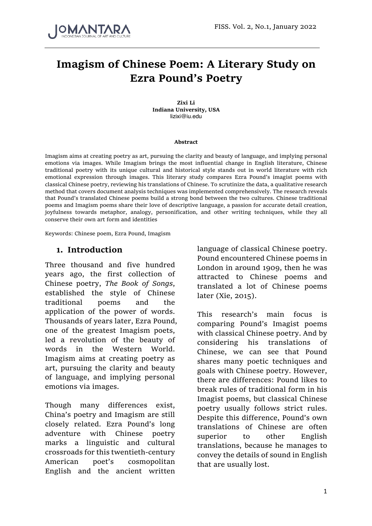

# **Imagism of Chinese Poem: A Literary Study on Ezra Pound's Poetry**

**Zixi Li Indiana University, USA** lizixi@iu.edu

#### **Abstract**

Imagism aims at creating poetry as art, pursuing the clarity and beauty of language, and implying personal emotions via images. While Imagism brings the most influential change in English literature, Chinese traditional poetry with its unique cultural and historical style stands out in world literature with rich emotional expression through images. This literary study compares Ezra Pound's imagist poems with classical Chinese poetry, reviewing his translations of Chinese. To scrutinize the data, a qualitative research method that covers document analysis techniques was implemented comprehensively. The research reveals that Pound's translated Chinese poems build a strong bond between the two cultures. Chinese traditional poems and Imagism poems share their love of descriptive language, a passion for accurate detail creation, joyfulness towards metaphor, analogy, personification, and other writing techniques, while they all conserve their own art form and identities

Keywords: Chinese poem, Ezra Pound, Imagism

### **1. Introduction**

Three thousand and five hundred years ago, the first collection of Chinese poetry, *The Book of Songs*, established the style of Chinese traditional poems and the application of the power of words. Thousands of years later, Ezra Pound, one of the greatest Imagism poets, led a revolution of the beauty of words in the Western World. Imagism aims at creating poetry as art, pursuing the clarity and beauty of language, and implying personal emotions via images.

Though many differences exist, China's poetry and Imagism are still closely related. Ezra Pound's long adventure with Chinese poetry marks a linguistic and cultural crossroads for this twentieth-century American poet's cosmopolitan English and the ancient written language of classical Chinese poetry. Pound encountered Chinese poems in London in around 1909, then he was attracted to Chinese poems and translated a lot of Chinese poems later (Xie, 2015).

This research's main focus is comparing Pound's Imagist poems with classical Chinese poetry. And by considering his translations of Chinese, we can see that Pound shares many poetic techniques and goals with Chinese poetry. However, there are differences: Pound likes to break rules of traditional form in his Imagist poems, but classical Chinese poetry usually follows strict rules. Despite this difference, Pound's own translations of Chinese are often superior to other English translations, because he manages to convey the details of sound in English that are usually lost.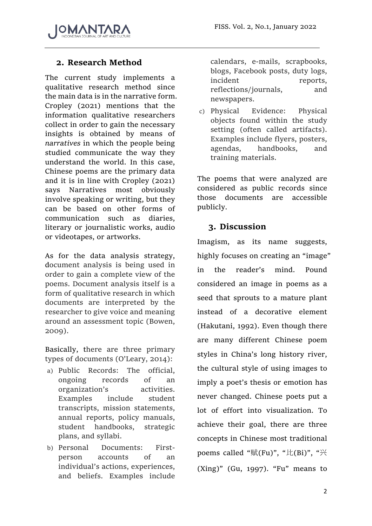

# **2. Research Method**

The current study implements a qualitative research method since the main data is in the narrative form. Cropley (2021) mentions that the information qualitative researchers collect in order to gain the necessary insights is obtained by means of *narratives* in which the people being studied communicate the way they understand the world. In this case, Chinese poems are the primary data and it is in line with Cropley (2021) says Narratives most obviously involve speaking or writing, but they can be based on other forms of communication such as diaries, literary or journalistic works, audio or videotapes, or artworks.

As for the data analysis strategy, document analysis is being used in order to gain a complete view of the poems. Document analysis itself is a form of qualitative research in which documents are interpreted by the researcher to give voice and meaning around an assessment topic (Bowen, 2009).

Basically, there are three primary types of documents (O'Leary, 2014):

- a) Public Records: The official, ongoing records of an organization's activities. Examples include student transcripts, mission statements, annual reports, policy manuals, student handbooks, strategic plans, and syllabi.
- b) Personal Documents: Firstperson accounts of an individual's actions, experiences, and beliefs. Examples include

calendars, e-mails, scrapbooks, blogs, Facebook posts, duty logs, incident reports, reflections/journals, and newspapers.

c) Physical Evidence: Physical objects found within the study setting (often called artifacts). Examples include flyers, posters, agendas, handbooks, and training materials.

The poems that were analyzed are considered as public records since those documents are accessible publicly.

## **3. Discussion**

Imagism, as its name suggests, highly focuses on creating an "image" in the reader's mind. Pound considered an image in poems as a seed that sprouts to a mature plant instead of a decorative element (Hakutani, 1992). Even though there are many different Chinese poem styles in China's long history river, the cultural style of using images to imply a poet's thesis or emotion has never changed. Chinese poets put a lot of effort into visualization. To achieve their goal, there are three concepts in Chinese most traditional poems called "赋(Fu)", "比(Bi)", "兴  $(Xing)$ " (Gu, 1997). "Fu" means to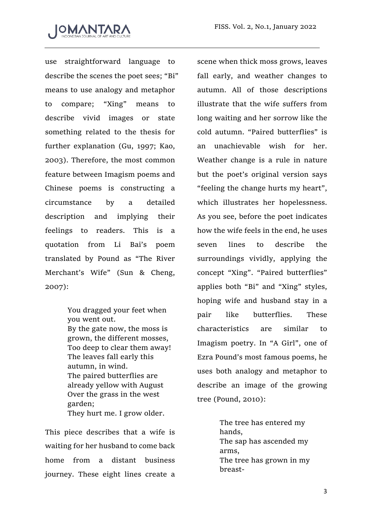

use straightforward language to describe the scenes the poet sees; "Bi" means to use analogy and metaphor to compare; "Xing" means to describe vivid images or state something related to the thesis for further explanation (Gu, 1997; Kao, 2003). Therefore, the most common feature between Imagism poems and Chinese poems is constructing a circumstance by a detailed description and implying their feelings to readers. This is a quotation from Li Bai's poem translated by Pound as "The River Merchant's Wife" (Sun & Cheng, 2007):

> You dragged your feet when you went out. By the gate now, the moss is grown, the different mosses, Too deep to clear them away! The leaves fall early this autumn, in wind. The paired butterflies are already yellow with August Over the grass in the west garden; They hurt me. I grow older.

This piece describes that a wife is waiting for her husband to come back home from a distant business journey. These eight lines create a scene when thick moss grows, leaves fall early, and weather changes to autumn. All of those descriptions illustrate that the wife suffers from long waiting and her sorrow like the cold autumn. "Paired butterflies" is an unachievable wish for her. Weather change is a rule in nature but the poet's original version says "feeling the change hurts my heart", which illustrates her hopelessness. As you see, before the poet indicates how the wife feels in the end, he uses seven lines to describe the surroundings vividly, applying the concept "Xing". "Paired butterflies" applies both "Bi" and "Xing" styles, hoping wife and husband stay in a pair like butterflies. These characteristics are similar to Imagism poetry. In "A Girl", one of Ezra Pound's most famous poems, he uses both analogy and metaphor to describe an image of the growing tree (Pound, 2010):

> The tree has entered my hands, The sap has ascended my arms, The tree has grown in my breast-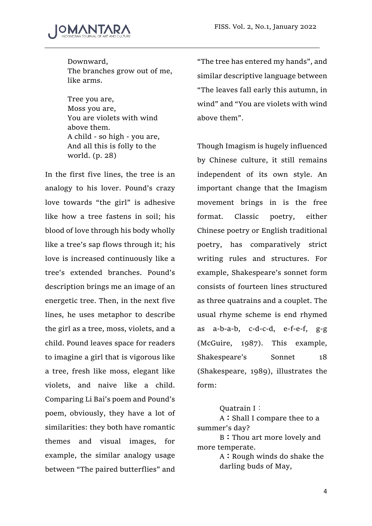

Downward, The branches grow out of me, like arms.

Tree you are, Moss you are, You are violets with wind above them. A child - so high - you are, And all this is folly to the world. (p. 28)

In the first five lines, the tree is an analogy to his lover. Pound's crazy love towards "the girl" is adhesive like how a tree fastens in soil; his blood of love through his body wholly like a tree's sap flows through it; his love is increased continuously like a tree's extended branches. Pound's description brings me an image of an energetic tree. Then, in the next five lines, he uses metaphor to describe the girl as a tree, moss, violets, and a child. Pound leaves space for readers to imagine a girl that is vigorous like a tree, fresh like moss, elegant like violets, and naive like a child. Comparing Li Bai's poem and Pound's poem, obviously, they have a lot of similarities: they both have romantic themes and visual images, for example, the similar analogy usage between "The paired butterflies" and

"The tree has entered my hands", and similar descriptive language between "The leaves fall early this autumn, in wind" and "You are violets with wind above them".

Though Imagism is hugely influenced by Chinese culture, it still remains independent of its own style. An important change that the Imagism movement brings in is the free format. Classic poetry, either Chinese poetry or English traditional poetry, has comparatively strict writing rules and structures. For example, Shakespeare's sonnet form consists of fourteen lines structured as three quatrains and a couplet. The usual rhyme scheme is end rhymed as a-b-a-b, c-d-c-d, e-f-e-f, g-g (McGuire, 1987). This example, Shakespeare's Sonnet 18 (Shakespeare, 1989), illustrates the form:

#### Quatrain I:

A:Shall I compare thee to a summer's day?

B: Thou art more lovely and more temperate.

> A: Rough winds do shake the darling buds of May,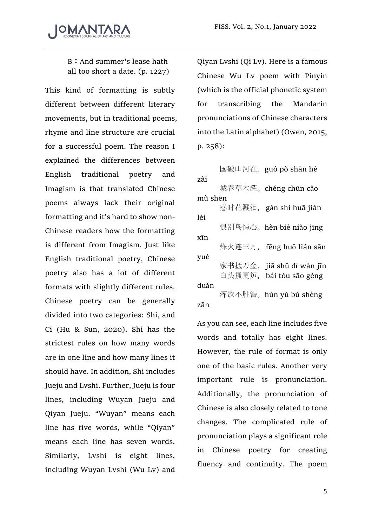

B:And summer's lease hath all too short a date. (p. 1227)

This kind of formatting is subtly different between different literary movements, but in traditional poems, rhyme and line structure are crucial for a successful poem. The reason I explained the differences between English traditional poetry and Imagism is that translated Chinese poems always lack their original formatting and it's hard to show non-Chinese readers how the formatting is different from Imagism. Just like English traditional poetry, Chinese poetry also has a lot of different formats with slightly different rules. Chinese poetry can be generally divided into two categories: Shi, and Ci (Hu & Sun, 2020). Shi has the strictest rules on how many words are in one line and how many lines it should have. In addition, Shi includes Jueju and Lvshi. Further, Jueju is four lines, including Wuyan Jueju and Qiyan Jueju. "Wuyan" means each line has five words, while "Qiyan" means each line has seven words. Similarly, Lvshi is eight lines, including Wuyan Lvshi (Wu Lv) and

Qiyan Lvshi (Qi Lv). Here is a famous Chinese Wu Lv poem with Pinyin (which is the official phonetic system for transcribing the Mandarin pronunciations of Chinese characters into the Latin alphabet) (Owen, 2015, p. 258):

国破山河在, guó pò shān hé zài 城春草木深。chéng chūn cǎo mù shēn 感时花溅泪, gǎn shí huā jiàn lèi 恨别鸟惊心。hèn bié niǎo jīng xīn 烽火三月, fēng huǒ lián sān yuè 家书抵万金. jiā shū dǐ wàn jīn 白搔更短, bái tóu sāo gèng duǎn 欲不簪。hún yù bú shèng zān

As you can see, each line includes five words and totally has eight lines. However, the rule of format is only one of the basic rules. Another very important rule is pronunciation. Additionally, the pronunciation of Chinese is also closely related to tone changes. The complicated rule of pronunciation plays a significant role in Chinese poetry for creating fluency and continuity. The poem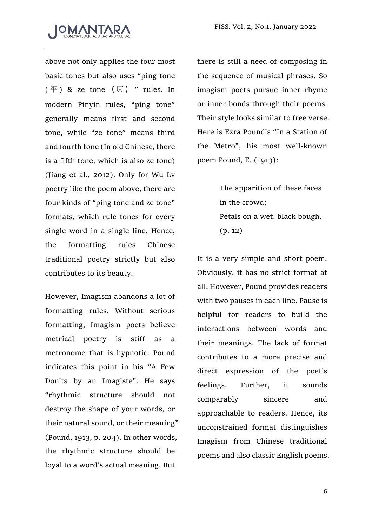

above not only applies the four most basic tones but also uses "ping tone  $(\overline{\mathcal{F}})$  & ze tone  $(\overline{\mathcal{K}})$  " rules. In modern Pinyin rules, "ping tone" generally means first and second tone, while "ze tone" means third and fourth tone (In old Chinese, there is a fifth tone, which is also ze tone) (Jiang et al., 2012). Only for Wu Lv poetry like the poem above, there are four kinds of "ping tone and ze tone" formats, which rule tones for every single word in a single line. Hence, the formatting rules Chinese traditional poetry strictly but also contributes to its beauty.

However, Imagism abandons a lot of formatting rules. Without serious formatting, Imagism poets believe metrical poetry is stiff as a metronome that is hypnotic. Pound indicates this point in his "A Few Don'ts by an Imagiste". He says "rhythmic structure should not destroy the shape of your words, or their natural sound, or their meaning" (Pound, 1913, p. 204). In other words, the rhythmic structure should be loyal to a word's actual meaning. But

there is still a need of composing in the sequence of musical phrases. So imagism poets pursue inner rhyme or inner bonds through their poems. Their style looks similar to free verse. Here is Ezra Pound's "In a Station of the Metro", his most well-known poem Pound, E. (1913):

> The apparition of these faces in the crowd; Petals on a wet, black bough. (p. 12)

It is a very simple and short poem. Obviously, it has no strict format at all. However, Pound provides readers with two pauses in each line. Pause is helpful for readers to build the interactions between words and their meanings. The lack of format contributes to a more precise and direct expression of the poet's feelings. Further, it sounds comparably sincere and approachable to readers. Hence, its unconstrained format distinguishes Imagism from Chinese traditional poems and also classic English poems.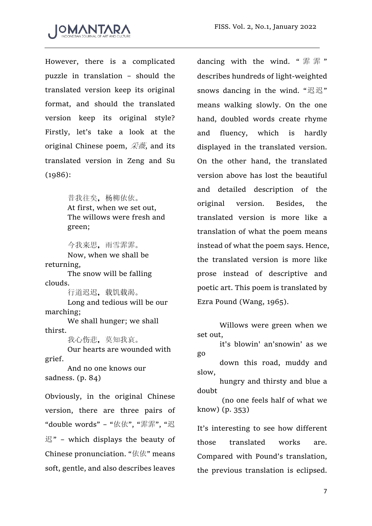

However, there is a complicated puzzle in translation – should the translated version keep its original format, and should the translated version keep its original style? Firstly, let's take a look at the original Chinese poem,  $\mathcal{R}\ddot{\mathcal{B}}$ , and its translated version in Zeng and Su (1986):

> 昔我往矣。杨柳依依。 At first, when we set out, The willows were fresh and green;

今我来思,雨雪霏霏。 Now, when we shall be returning, The snow will be falling clouds. 行道迟迟,载饥载渴。 Long and tedious will be our marching; We shall hunger; we shall thirst. 我心伤悲,莫知我哀。 Our hearts are wounded with grief.

And no one knows our sadness. (p. 84)

Obviously, in the original Chinese version, there are three pairs of "double words" – "依依", "霏霏", "  $\mathbb{E}$ " – which displays the beauty of Chinese pronunciation. "依依" means soft, gentle, and also describes leaves

dancing with the wind. "罪罪" describes hundreds of light-weighted snows dancing in the wind. " $\mathbb{E}\mathbb{E}$ " means walking slowly. On the one hand, doubled words create rhyme and fluency, which is hardly displayed in the translated version. On the other hand, the translated version above has lost the beautiful and detailed description of the original version. Besides, the translated version is more like a translation of what the poem means instead of what the poem says. Hence, the translated version is more like prose instead of descriptive and poetic art. This poem is translated by Ezra Pound (Wang, 1965).

Willows were green when we set out,

it's blowin' an'snowin' as we go

down this road, muddy and slow,

hungry and thirsty and blue a doubt

(no one feels half of what we know) (p. 353)

It's interesting to see how different those translated works are. Compared with Pound's translation, the previous translation is eclipsed.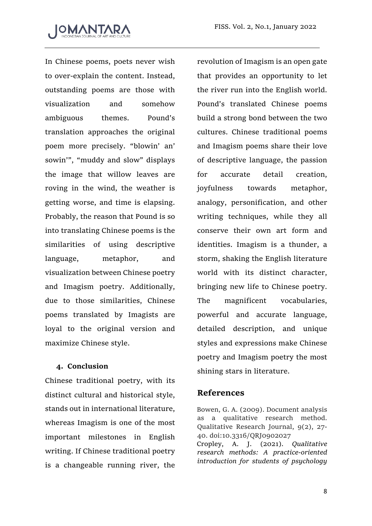

In Chinese poems, poets never wish to over-explain the content. Instead, outstanding poems are those with visualization and somehow ambiguous themes. Pound's translation approaches the original poem more precisely. "blowin' an' sowin'", "muddy and slow" displays the image that willow leaves are roving in the wind, the weather is getting worse, and time is elapsing. Probably, the reason that Pound is so into translating Chinese poems is the similarities of using descriptive language, metaphor, and visualization between Chinese poetry and Imagism poetry. Additionally, due to those similarities, Chinese poems translated by Imagists are loyal to the original version and maximize Chinese style.

#### **4. Conclusion**

Chinese traditional poetry, with its distinct cultural and historical style, stands out in international literature, whereas Imagism is one of the most important milestones in English writing. If Chinese traditional poetry is a changeable running river, the

revolution of Imagism is an open gate that provides an opportunity to let the river run into the English world. Pound's translated Chinese poems build a strong bond between the two cultures. Chinese traditional poems and Imagism poems share their love of descriptive language, the passion for accurate detail creation, joyfulness towards metaphor, analogy, personification, and other writing techniques, while they all conserve their own art form and identities. Imagism is a thunder, a storm, shaking the English literature world with its distinct character, bringing new life to Chinese poetry. The magnificent vocabularies, powerful and accurate language, detailed description, and unique styles and expressions make Chinese poetry and Imagism poetry the most shining stars in literature.

# **References**

Bowen, G. A. (2009). Document analysis as a qualitative research method. Qualitative Research Journal, 9(2), 27- 40. doi:10.3316/QRJ0902027

Cropley, A. J. (2021). *Qualitative research methods: A practice-oriented introduction for students of psychology*